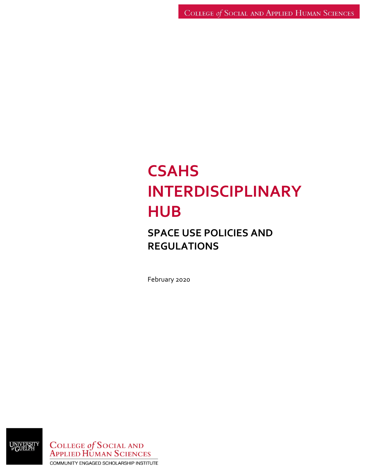# **CSAHS INTERDISCIPLINARY HUB**

## **SPACE USE POLICIES AND REGULATIONS**

February 2020

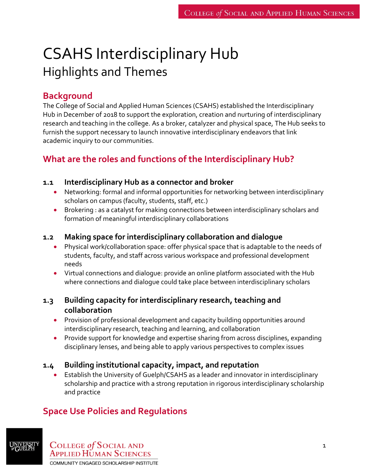## CSAHS Interdisciplinary Hub Highlights and Themes

## **Background**

The College of Social and Applied Human Sciences (CSAHS) established the Interdisciplinary Hub in December of 2018 to support the exploration, creation and nurturing of interdisciplinary research and teaching in the college. As a broker, catalyzer and physical space, The Hub seeks to furnish the support necessary to launch innovative interdisciplinary endeavors that link academic inquiry to our communities.

## **What are the roles and functions of the Interdisciplinary Hub?**

#### **1.1 Interdisciplinary Hub as a connector and broker**

- Networking: formal and informal opportunities for networking between interdisciplinary scholars on campus (faculty, students, staff, etc.)
- Brokering : as a catalyst for making connections between interdisciplinary scholars and formation of meaningful interdisciplinary collaborations

#### **1.2 Making space for interdisciplinary collaboration and dialogue**

- Physical work/collaboration space: offer physical space that is adaptable to the needs of students, faculty, and staff across various workspace and professional development needs
- Virtual connections and dialogue: provide an online platform associated with the Hub where connections and dialogue could take place between interdisciplinary scholars

#### **1.3 Building capacity for interdisciplinary research, teaching and collaboration**

- Provision of professional development and capacity building opportunities around interdisciplinary research, teaching and learning, and collaboration
- Provide support for knowledge and expertise sharing from across disciplines, expanding disciplinary lenses, and being able to apply various perspectives to complex issues

#### **1.4 Building institutional capacity, impact, and reputation**

 Establish the University of Guelph/CSAHS as a leader and innovator in interdisciplinary scholarship and practice with a strong reputation in rigorous interdisciplinary scholarship and practice

## **Space Use Policies and Regulations**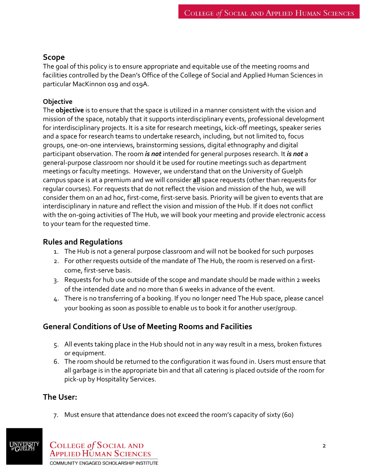#### **Scope**

The goal of this policy is to ensure appropriate and equitable use of the meeting rooms and facilities controlled by the Dean's Office of the College of Social and Applied Human Sciences in particular MacKinnon 019 and 019A.

#### **Objective**

The **objective** is to ensure that the space is utilized in a manner consistent with the vision and mission of the space, notably that it supports interdisciplinary events, professional development for interdisciplinary projects. It is a site for research meetings, kick-off meetings, speaker series and a space for research teams to undertake research, including, but not limited to, focus groups, one-on-one interviews, brainstorming sessions, digital ethnography and digital participant observation. The room *is not* intended for general purposes research. It *is not* a general-purpose classroom nor should it be used for routine meetings such as department meetings or faculty meetings. However, we understand that on the University of Guelph campus space is at a premium and we will consider **all** space requests (other than requests for regular courses). For requests that do not reflect the vision and mission of the hub, we will consider them on an ad hoc, first-come, first-serve basis. Priority will be given to events that are interdisciplinary in nature and reflect the vision and mission of the Hub. If it does not conflict with the on-going activities of The Hub, we will book your meeting and provide electronic access to your team for the requested time.

## **Rules and Regulations**

- 1. The Hub is not a general purpose classroom and will not be booked for such purposes
- 2. For other requests outside of the mandate of The Hub, the room is reserved on a firstcome, first-serve basis.
- 3. Requests for hub use outside of the scope and mandate should be made within 2 weeks of the intended date and no more than 6 weeks in advance of the event.
- 4. There is no transferring of a booking. If you no longer need The Hub space, please cancel your booking as soon as possible to enable us to book it for another user/group.

## **General Conditions of Use of Meeting Rooms and Facilities**

- 5. All events taking place in the Hub should not in any way result in a mess, broken fixtures or equipment.
- 6. The room should be returned to the configuration it was found in. Users must ensure that all garbage is in the appropriate bin and that all catering is placed outside of the room for pick-up by Hospitality Services.

## **The User:**

7. Must ensure that attendance does not exceed the room's capacity of sixty (60)

**COLLEGE of SOCIAL AND APPLIED HUMAN SCIENCES** COMMUNITY ENGAGED SCHOLARSHIP INSTITUTE